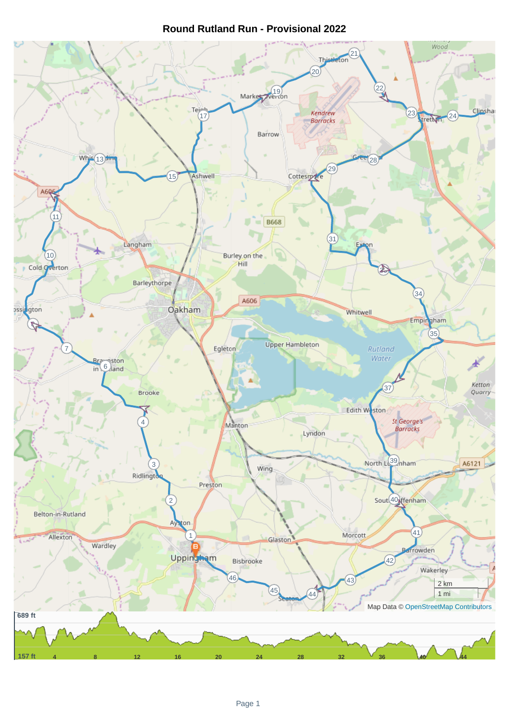## **Round Rutland Run - Provisional 2022**

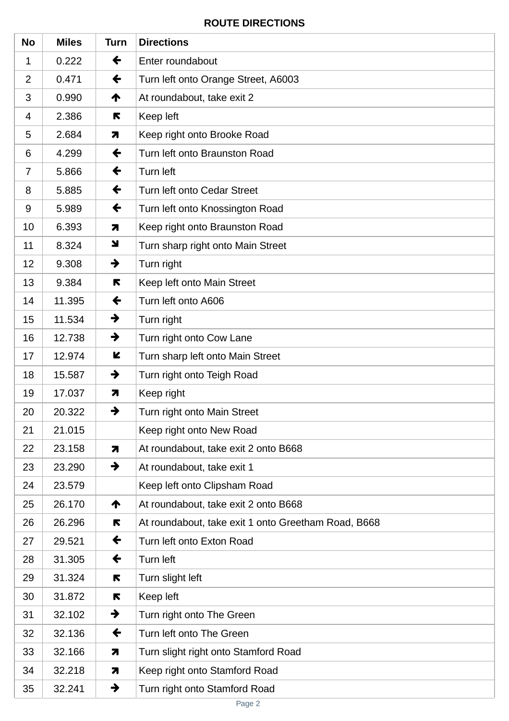## **ROUTE DIRECTIONS**

| <b>No</b>      | <b>Miles</b> | <b>Turn</b>             | <b>Directions</b>                                   |
|----------------|--------------|-------------------------|-----------------------------------------------------|
| 1              | 0.222        | $\leftarrow$            | Enter roundabout                                    |
| $\overline{2}$ | 0.471        | $\leftarrow$            | Turn left onto Orange Street, A6003                 |
| 3              | 0.990        | ↑                       | At roundabout, take exit 2                          |
| 4              | 2.386        | R                       | Keep left                                           |
| 5              | 2.684        | 7                       | Keep right onto Brooke Road                         |
| 6              | 4.299        | $\leftarrow$            | Turn left onto Braunston Road                       |
| $\overline{7}$ | 5.866        | $\leftarrow$            | Turn left                                           |
| 8              | 5.885        | $\leftarrow$            | <b>Turn left onto Cedar Street</b>                  |
| $9\,$          | 5.989        | $\leftarrow$            | Turn left onto Knossington Road                     |
| 10             | 6.393        | $\overline{\mathbf{z}}$ | Keep right onto Braunston Road                      |
| 11             | 8.324        | N                       | Turn sharp right onto Main Street                   |
| 12             | 9.308        | $\rightarrow$           | Turn right                                          |
| 13             | 9.384        | K                       | Keep left onto Main Street                          |
| 14             | 11.395       | $\leftarrow$            | Turn left onto A606                                 |
| 15             | 11.534       | $\rightarrow$           | Turn right                                          |
| 16             | 12.738       | $\rightarrow$           | Turn right onto Cow Lane                            |
| 17             | 12.974       | K                       | Turn sharp left onto Main Street                    |
| 18             | 15.587       | →                       | Turn right onto Teigh Road                          |
| 19             | 17.037       | $\overline{\mathbf{z}}$ | Keep right                                          |
| 20             | 20.322       | $\rightarrow$           | Turn right onto Main Street                         |
| 21             | 21.015       |                         | Keep right onto New Road                            |
| 22             | 23.158       | $\overline{\mathbf{z}}$ | At roundabout, take exit 2 onto B668                |
| 23             | 23.290       | →                       | At roundabout, take exit 1                          |
| 24             | 23.579       |                         | Keep left onto Clipsham Road                        |
| 25             | 26.170       | ↑                       | At roundabout, take exit 2 onto B668                |
| 26             | 26.296       | R                       | At roundabout, take exit 1 onto Greetham Road, B668 |
| 27             | 29.521       | $\leftarrow$            | Turn left onto Exton Road                           |
| 28             | 31.305       | $\leftarrow$            | Turn left                                           |
| 29             | 31.324       | R                       | Turn slight left                                    |
| 30             | 31.872       | R                       | Keep left                                           |
| 31             | 32.102       | $\rightarrow$           | Turn right onto The Green                           |
| 32             | 32.136       | $\leftarrow$            | Turn left onto The Green                            |
| 33             | 32.166       | $\overline{\mathbf{z}}$ | Turn slight right onto Stamford Road                |
| 34             | 32.218       | 7                       | Keep right onto Stamford Road                       |
| 35             | 32.241       | $\rightarrow$           | Turn right onto Stamford Road                       |